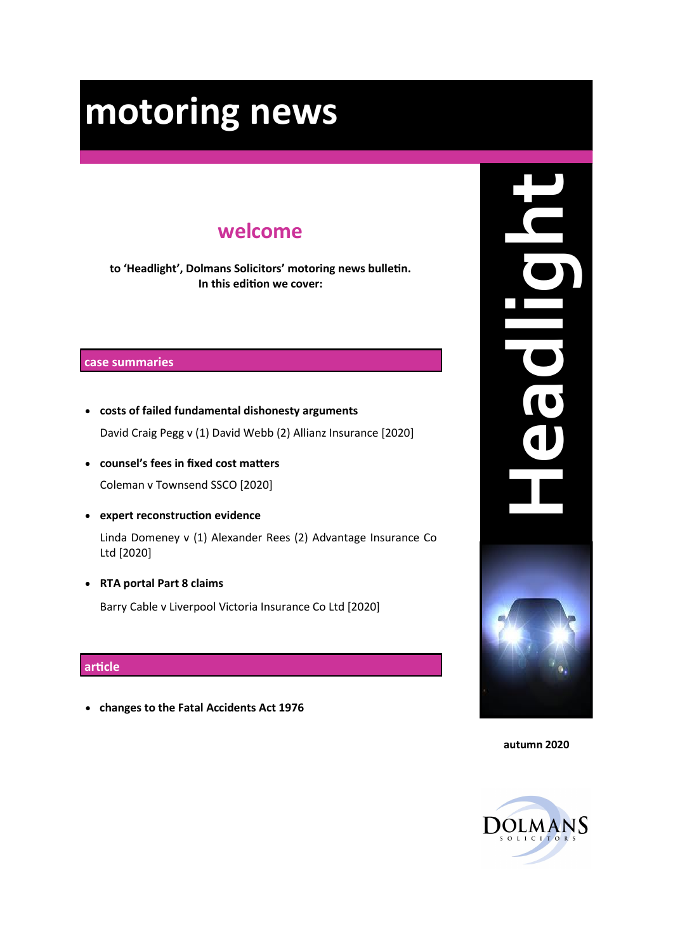## **welcome**

**to 'Headlight', Dolmans Solicitors' motoring news bulletin. In this edition we cover:**

#### **case summaries**

- **costs of failed fundamental dishonesty arguments** David Craig Pegg v (1) David Webb (2) Allianz Insurance [2020]
- **counsel's fees in fixed cost matters** Coleman v Townsend SSCO [2020]
- **expert reconstruction evidence**

Linda Domeney v (1) Alexander Rees (2) Advantage Insurance Co Ltd [2020]

• **RTA portal Part 8 claims**  Barry Cable v Liverpool Victoria Insurance Co Ltd [2020]

#### **article**

• **changes to the Fatal Accidents Act 1976**



**autumn 2020**

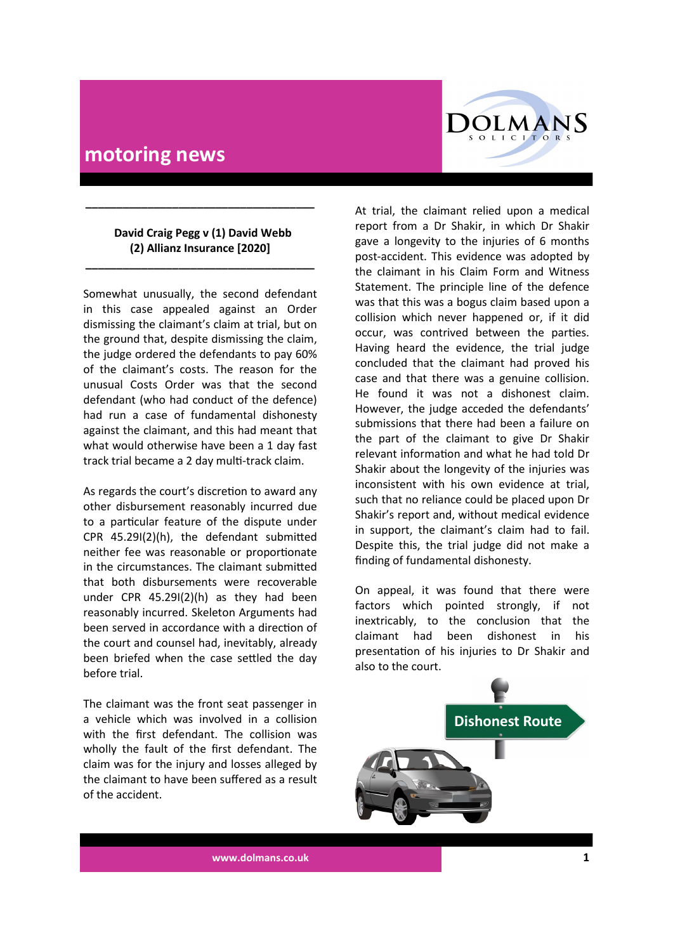# **COLMANS** SOLICITORS

## **motoring news**

#### **David Craig Pegg v (1) David Webb (2) Allianz Insurance [2020]**

**\_\_\_\_\_\_\_\_\_\_\_\_\_\_\_\_\_\_\_\_\_\_\_\_\_\_\_\_\_\_\_\_\_\_\_\_\_**

**\_\_\_\_\_\_\_\_\_\_\_\_\_\_\_\_\_\_\_\_\_\_\_\_\_\_\_\_\_\_\_\_\_\_\_\_\_**

Somewhat unusually, the second defendant in this case appealed against an Order dismissing the claimant's claim at trial, but on the ground that, despite dismissing the claim, the judge ordered the defendants to pay 60% of the claimant's costs. The reason for the unusual Costs Order was that the second defendant (who had conduct of the defence) had run a case of fundamental dishonesty against the claimant, and this had meant that what would otherwise have been a 1 day fast track trial became a 2 day multi-track claim.

As regards the court's discretion to award any other disbursement reasonably incurred due to a particular feature of the dispute under CPR 45.29I(2)(h), the defendant submitted neither fee was reasonable or proportionate in the circumstances. The claimant submitted that both disbursements were recoverable under CPR 45.29I(2)(h) as they had been reasonably incurred. Skeleton Arguments had been served in accordance with a direction of the court and counsel had, inevitably, already been briefed when the case settled the day before trial.

The claimant was the front seat passenger in a vehicle which was involved in a collision with the first defendant. The collision was wholly the fault of the first defendant. The claim was for the injury and losses alleged by the claimant to have been suffered as a result of the accident.

At trial, the claimant relied upon a medical report from a Dr Shakir, in which Dr Shakir gave a longevity to the injuries of 6 months post-accident. This evidence was adopted by the claimant in his Claim Form and Witness Statement. The principle line of the defence was that this was a bogus claim based upon a collision which never happened or, if it did occur, was contrived between the parties. Having heard the evidence, the trial judge concluded that the claimant had proved his case and that there was a genuine collision. He found it was not a dishonest claim. However, the judge acceded the defendants' submissions that there had been a failure on the part of the claimant to give Dr Shakir relevant information and what he had told Dr Shakir about the longevity of the injuries was inconsistent with his own evidence at trial, such that no reliance could be placed upon Dr Shakir's report and, without medical evidence in support, the claimant's claim had to fail. Despite this, the trial judge did not make a finding of fundamental dishonesty.

On appeal, it was found that there were factors which pointed strongly, if not inextricably, to the conclusion that the claimant had been dishonest in his presentation of his injuries to Dr Shakir and also to the court.



**www.dolmans.co.uk 1**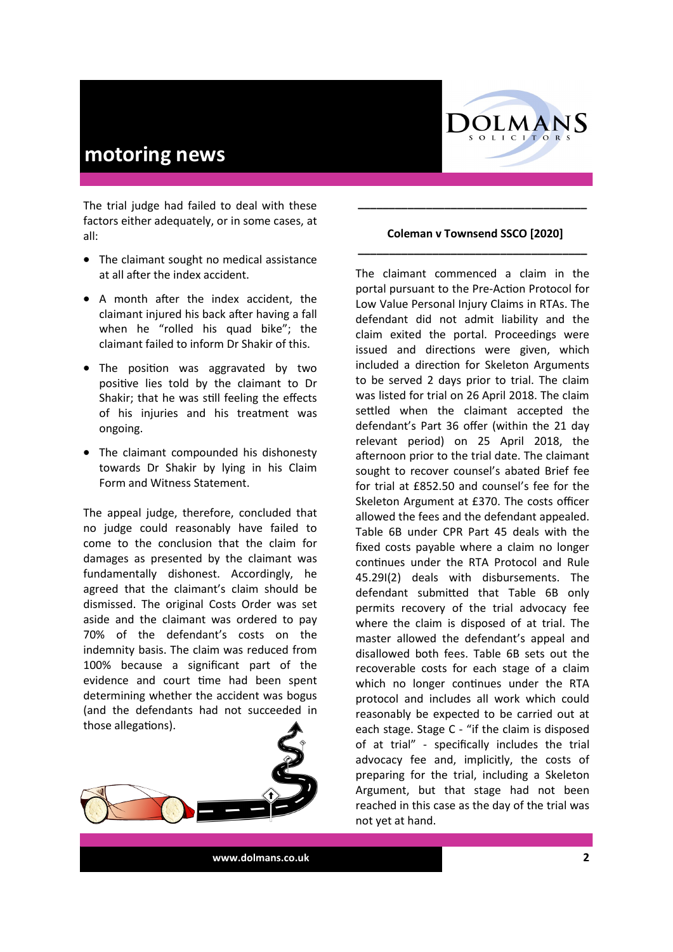

The trial judge had failed to deal with these factors either adequately, or in some cases, at all:

- The claimant sought no medical assistance at all after the index accident.
- A month after the index accident, the claimant injured his back after having a fall when he "rolled his quad bike"; the claimant failed to inform Dr Shakir of this.
- The position was aggravated by two positive lies told by the claimant to Dr Shakir; that he was still feeling the effects of his injuries and his treatment was ongoing.
- The claimant compounded his dishonesty towards Dr Shakir by lying in his Claim Form and Witness Statement.

The appeal judge, therefore, concluded that no judge could reasonably have failed to come to the conclusion that the claim for damages as presented by the claimant was fundamentally dishonest. Accordingly, he agreed that the claimant's claim should be dismissed. The original Costs Order was set aside and the claimant was ordered to pay 70% of the defendant's costs on the indemnity basis. The claim was reduced from 100% because a significant part of the evidence and court time had been spent determining whether the accident was bogus (and the defendants had not succeeded in those allegations).



#### **Coleman v Townsend SSCO [2020] \_\_\_\_\_\_\_\_\_\_\_\_\_\_\_\_\_\_\_\_\_\_\_\_\_\_\_\_\_\_\_\_\_\_\_\_\_**

**\_\_\_\_\_\_\_\_\_\_\_\_\_\_\_\_\_\_\_\_\_\_\_\_\_\_\_\_\_\_\_\_\_\_\_\_\_**

The claimant commenced a claim in the portal pursuant to the Pre-Action Protocol for Low Value Personal Injury Claims in RTAs. The defendant did not admit liability and the claim exited the portal. Proceedings were issued and directions were given, which included a direction for Skeleton Arguments to be served 2 days prior to trial. The claim was listed for trial on 26 April 2018. The claim settled when the claimant accepted the defendant's Part 36 offer (within the 21 day relevant period) on 25 April 2018, the afternoon prior to the trial date. The claimant sought to recover counsel's abated Brief fee for trial at £852.50 and counsel's fee for the Skeleton Argument at £370. The costs officer allowed the fees and the defendant appealed. Table 6B under CPR Part 45 deals with the fixed costs payable where a claim no longer continues under the RTA Protocol and Rule 45.29I(2) deals with disbursements. The defendant submitted that Table 6B only permits recovery of the trial advocacy fee where the claim is disposed of at trial. The master allowed the defendant's appeal and disallowed both fees. Table 6B sets out the recoverable costs for each stage of a claim which no longer continues under the RTA protocol and includes all work which could reasonably be expected to be carried out at each stage. Stage C - "if the claim is disposed of at trial" - specifically includes the trial advocacy fee and, implicitly, the costs of preparing for the trial, including a Skeleton Argument, but that stage had not been reached in this case as the day of the trial was not yet at hand.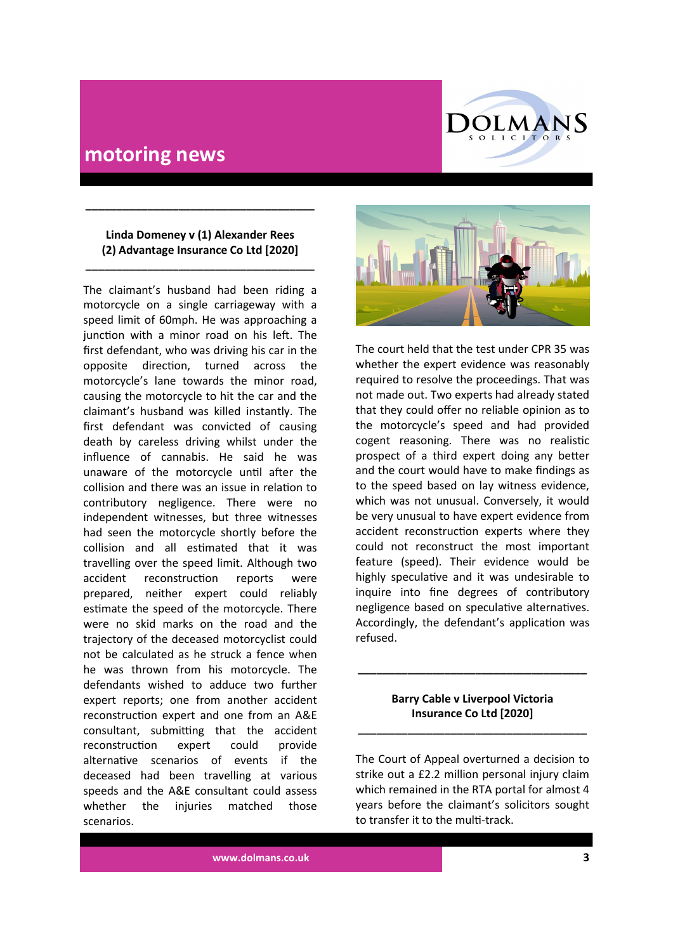

#### **Linda Domeney v (1) Alexander Rees (2) Advantage Insurance Co Ltd [2020]**

**\_\_\_\_\_\_\_\_\_\_\_\_\_\_\_\_\_\_\_\_\_\_\_\_\_\_\_\_\_\_\_\_\_\_\_\_\_**

**\_\_\_\_\_\_\_\_\_\_\_\_\_\_\_\_\_\_\_\_\_\_\_\_\_\_\_\_\_\_\_\_\_\_\_\_\_**

The claimant's husband had been riding a motorcycle on a single carriageway with a speed limit of 60mph. He was approaching a junction with a minor road on his left. The first defendant, who was driving his car in the opposite direction, turned across the motorcycle's lane towards the minor road, causing the motorcycle to hit the car and the claimant's husband was killed instantly. The first defendant was convicted of causing death by careless driving whilst under the influence of cannabis. He said he was unaware of the motorcycle until after the collision and there was an issue in relation to contributory negligence. There were no independent witnesses, but three witnesses had seen the motorcycle shortly before the collision and all estimated that it was travelling over the speed limit. Although two accident reconstruction reports were prepared, neither expert could reliably estimate the speed of the motorcycle. There were no skid marks on the road and the trajectory of the deceased motorcyclist could not be calculated as he struck a fence when he was thrown from his motorcycle. The defendants wished to adduce two further expert reports; one from another accident reconstruction expert and one from an A&E consultant, submitting that the accident reconstruction expert could provide alternative scenarios of events if the deceased had been travelling at various speeds and the A&E consultant could assess whether the injuries matched those scenarios.



The court held that the test under CPR 35 was whether the expert evidence was reasonably required to resolve the proceedings. That was not made out. Two experts had already stated that they could offer no reliable opinion as to the motorcycle's speed and had provided cogent reasoning. There was no realistic prospect of a third expert doing any better and the court would have to make findings as to the speed based on lay witness evidence, which was not unusual. Conversely, it would be very unusual to have expert evidence from accident reconstruction experts where they could not reconstruct the most important feature (speed). Their evidence would be highly speculative and it was undesirable to inquire into fine degrees of contributory negligence based on speculative alternatives. Accordingly, the defendant's application was refused.

#### **Barry Cable v Liverpool Victoria Insurance Co Ltd [2020]**

**\_\_\_\_\_\_\_\_\_\_\_\_\_\_\_\_\_\_\_\_\_\_\_\_\_\_\_\_\_\_\_\_\_\_\_\_\_**

**\_\_\_\_\_\_\_\_\_\_\_\_\_\_\_\_\_\_\_\_\_\_\_\_\_\_\_\_\_\_\_\_\_\_\_\_\_**

The Court of Appeal overturned a decision to strike out a £2.2 million personal injury claim which remained in the RTA portal for almost 4 years before the claimant's solicitors sought to transfer it to the multi-track.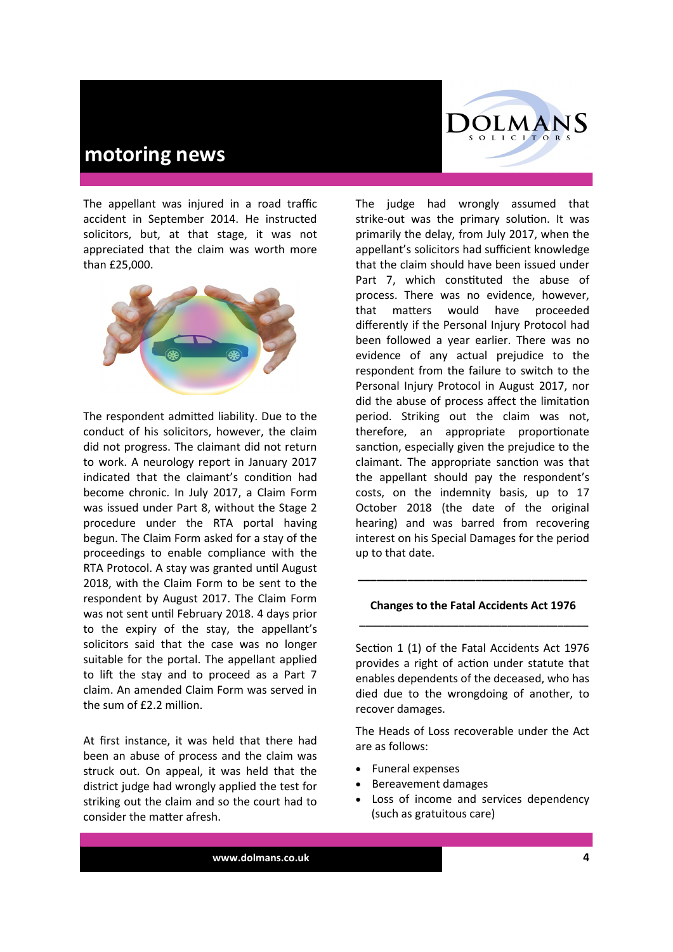The appellant was injured in a road traffic accident in September 2014. He instructed solicitors, but, at that stage, it was not appreciated that the claim was worth more than £25,000.



The respondent admitted liability. Due to the conduct of his solicitors, however, the claim did not progress. The claimant did not return to work. A neurology report in January 2017 indicated that the claimant's condition had become chronic. In July 2017, a Claim Form was issued under Part 8, without the Stage 2 procedure under the RTA portal having begun. The Claim Form asked for a stay of the proceedings to enable compliance with the RTA Protocol. A stay was granted until August 2018, with the Claim Form to be sent to the respondent by August 2017. The Claim Form was not sent until February 2018. 4 days prior to the expiry of the stay, the appellant's solicitors said that the case was no longer suitable for the portal. The appellant applied to lift the stay and to proceed as a Part 7 claim. An amended Claim Form was served in the sum of £2.2 million.

At first instance, it was held that there had been an abuse of process and the claim was struck out. On appeal, it was held that the district judge had wrongly applied the test for striking out the claim and so the court had to consider the matter afresh.



The judge had wrongly assumed that strike-out was the primary solution. It was primarily the delay, from July 2017, when the appellant's solicitors had sufficient knowledge that the claim should have been issued under Part 7, which constituted the abuse of process. There was no evidence, however, that matters would have proceeded differently if the Personal Injury Protocol had been followed a year earlier. There was no evidence of any actual prejudice to the respondent from the failure to switch to the Personal Injury Protocol in August 2017, nor did the abuse of process affect the limitation period. Striking out the claim was not, therefore, an appropriate proportionate sanction, especially given the prejudice to the claimant. The appropriate sanction was that the appellant should pay the respondent's costs, on the indemnity basis, up to 17 October 2018 (the date of the original hearing) and was barred from recovering interest on his Special Damages for the period up to that date.

#### **Changes to the Fatal Accidents Act 1976 \_\_\_\_\_\_\_\_\_\_\_\_\_\_\_\_\_\_\_\_\_\_\_\_\_\_\_\_\_\_\_\_\_\_\_\_\_**

**\_\_\_\_\_\_\_\_\_\_\_\_\_\_\_\_\_\_\_\_\_\_\_\_\_\_\_\_\_\_\_\_\_\_\_\_\_**

Section 1 (1) of the Fatal Accidents Act 1976 provides a right of action under statute that enables dependents of the deceased, who has died due to the wrongdoing of another, to recover damages.

The Heads of Loss recoverable under the Act are as follows:

- Funeral expenses
- Bereavement damages
- Loss of income and services dependency (such as gratuitous care)